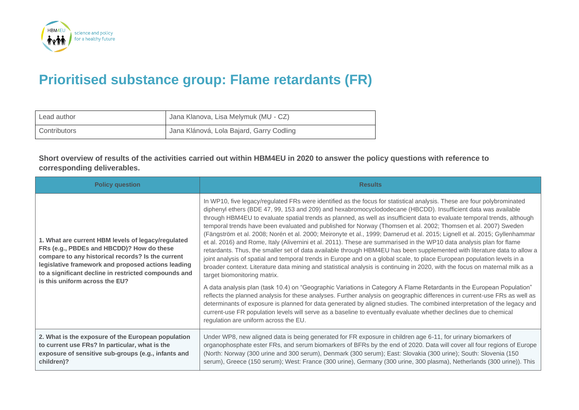

## **Prioritised substance group: Flame retardants (FR)**

| Lead author  | Jana Klanova, Lisa Melymuk (MU - CZ)     |
|--------------|------------------------------------------|
| Contributors | Jana Klánová, Lola Bajard, Garry Codling |

**Short overview of results of the activities carried out within HBM4EU in 2020 to answer the policy questions with reference to corresponding deliverables.**

| <b>Policy question</b>                                                                                                                                                                                                                                                                               | <b>Results</b>                                                                                                                                                                                                                                                                                                                                                                                                                                                                                                                                                                                                                                                                                                                                                                                                                                                                                                                                                                                                                                                                                                                                                      |
|------------------------------------------------------------------------------------------------------------------------------------------------------------------------------------------------------------------------------------------------------------------------------------------------------|---------------------------------------------------------------------------------------------------------------------------------------------------------------------------------------------------------------------------------------------------------------------------------------------------------------------------------------------------------------------------------------------------------------------------------------------------------------------------------------------------------------------------------------------------------------------------------------------------------------------------------------------------------------------------------------------------------------------------------------------------------------------------------------------------------------------------------------------------------------------------------------------------------------------------------------------------------------------------------------------------------------------------------------------------------------------------------------------------------------------------------------------------------------------|
| 1. What are current HBM levels of legacy/regulated<br>FRs (e.g., PBDEs and HBCDD)? How do these<br>compare to any historical records? Is the current<br>legislative framework and proposed actions leading<br>to a significant decline in restricted compounds and<br>is this uniform across the EU? | In WP10, five legacy/regulated FRs were identified as the focus for statistical analysis. These are four polybrominated<br>diphenyl ethers (BDE 47, 99, 153 and 209) and hexabromocyclododecane (HBCDD). Insufficient data was available<br>through HBM4EU to evaluate spatial trends as planned, as well as insufficient data to evaluate temporal trends, although<br>temporal trends have been evaluated and published for Norway (Thomsen et al. 2002; Thomsen et al. 2007) Sweden<br>(Fängström et al. 2008; Norén et al. 2000; Meironyte et al., 1999; Darnerud et al. 2015; Lignell et al. 2015; Gyllenhammar<br>et al. 2016) and Rome, Italy (Alivernini et al. 2011). These are summarised in the WP10 data analysis plan for flame<br>retardants. Thus, the smaller set of data available through HBM4EU has been supplemented with literature data to allow a<br>joint analysis of spatial and temporal trends in Europe and on a global scale, to place European population levels in a<br>broader context. Literature data mining and statistical analysis is continuing in 2020, with the focus on maternal milk as a<br>target biomonitoring matrix. |
|                                                                                                                                                                                                                                                                                                      | A data analysis plan (task 10.4) on "Geographic Variations in Category A Flame Retardants in the European Population"<br>reflects the planned analysis for these analyses. Further analysis on geographic differences in current-use FRs as well as<br>determinants of exposure is planned for data generated by aligned studies. The combined interpretation of the legacy and<br>current-use FR population levels will serve as a baseline to eventually evaluate whether declines due to chemical<br>regulation are uniform across the EU.                                                                                                                                                                                                                                                                                                                                                                                                                                                                                                                                                                                                                       |
| 2. What is the exposure of the European population<br>to current use FRs? In particular, what is the<br>exposure of sensitive sub-groups (e.g., infants and<br>children)?                                                                                                                            | Under WP8, new aligned data is being generated for FR exposure in children age 6-11, for urinary biomarkers of<br>organophosphate ester FRs, and serum biomarkers of BFRs by the end of 2020. Data will cover all four regions of Europe<br>(North: Norway (300 urine and 300 serum), Denmark (300 serum); East: Slovakia (300 urine); South: Slovenia (150<br>serum), Greece (150 serum); West: France (300 urine), Germany (300 urine, 300 plasma), Netherlands (300 urine)). This                                                                                                                                                                                                                                                                                                                                                                                                                                                                                                                                                                                                                                                                                |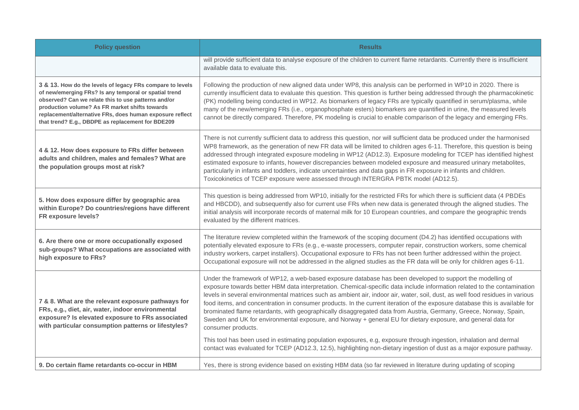| <b>Policy question</b>                                                                                                                                                                                                                                                                                                                       | <b>Results</b>                                                                                                                                                                                                                                                                                                                                                                                                                                                                                                                                                                                                                                                                                                                                                                                                                                                                                                                                                                                                   |
|----------------------------------------------------------------------------------------------------------------------------------------------------------------------------------------------------------------------------------------------------------------------------------------------------------------------------------------------|------------------------------------------------------------------------------------------------------------------------------------------------------------------------------------------------------------------------------------------------------------------------------------------------------------------------------------------------------------------------------------------------------------------------------------------------------------------------------------------------------------------------------------------------------------------------------------------------------------------------------------------------------------------------------------------------------------------------------------------------------------------------------------------------------------------------------------------------------------------------------------------------------------------------------------------------------------------------------------------------------------------|
|                                                                                                                                                                                                                                                                                                                                              | will provide sufficient data to analyse exposure of the children to current flame retardants. Currently there is insufficient<br>available data to evaluate this.                                                                                                                                                                                                                                                                                                                                                                                                                                                                                                                                                                                                                                                                                                                                                                                                                                                |
| 3 & 13. How do the levels of legacy FRs compare to levels<br>of new/emerging FRs? Is any temporal or spatial trend<br>observed? Can we relate this to use patterns and/or<br>production volume? As FR market shifts towards<br>replacement/alternative FRs, does human exposure reflect<br>that trend? E.g., DBDPE as replacement for BDE209 | Following the production of new aligned data under WP8, this analysis can be performed in WP10 in 2020. There is<br>currently insufficient data to evaluate this question. This question is further being addressed through the pharmacokinetic<br>(PK) modelling being conducted in WP12. As biomarkers of legacy FRs are typically quantified in serum/plasma, while<br>many of the new/emerging FRs (i.e., organophosphate esters) biomarkers are quantified in urine, the measured levels<br>cannot be directly compared. Therefore, PK modeling is crucial to enable comparison of the legacy and emerging FRs.                                                                                                                                                                                                                                                                                                                                                                                             |
| 4 & 12. How does exposure to FRs differ between<br>adults and children, males and females? What are<br>the population groups most at risk?                                                                                                                                                                                                   | There is not currently sufficient data to address this question, nor will sufficient data be produced under the harmonised<br>WP8 framework, as the generation of new FR data will be limited to children ages 6-11. Therefore, this question is being<br>addressed through integrated exposure modeling in WP12 (AD12.3). Exposure modeling for TCEP has identified highest<br>estimated exposure to infants, however discrepancies between modeled exposure and measured urinary metabolites,<br>particularly in infants and toddlers, indicate uncertainties and data gaps in FR exposure in infants and children.<br>Toxicokinetics of TCEP exposure were assessed through INTERGRA PBTK model (AD12.5).                                                                                                                                                                                                                                                                                                     |
| 5. How does exposure differ by geographic area<br>within Europe? Do countries/regions have different<br>FR exposure levels?                                                                                                                                                                                                                  | This question is being addressed from WP10, initially for the restricted FRs for which there is sufficient data (4 PBDEs<br>and HBCDD), and subsequently also for current use FRs when new data is generated through the aligned studies. The<br>initial analysis will incorporate records of maternal milk for 10 European countries, and compare the geographic trends<br>evaluated by the different matrices.                                                                                                                                                                                                                                                                                                                                                                                                                                                                                                                                                                                                 |
| 6. Are there one or more occupationally exposed<br>sub-groups? What occupations are associated with<br>high exposure to FRs?                                                                                                                                                                                                                 | The literature review completed within the framework of the scoping document (D4.2) has identified occupations with<br>potentially elevated exposure to FRs (e.g., e-waste processers, computer repair, construction workers, some chemical<br>industry workers, carpet installers). Occupational exposure to FRs has not been further addressed within the project.<br>Occupational exposure will not be addressed in the aligned studies as the FR data will be only for children ages 6-11.                                                                                                                                                                                                                                                                                                                                                                                                                                                                                                                   |
| 7 & 8. What are the relevant exposure pathways for<br>FRs, e.g., diet, air, water, indoor environmental<br>exposure? Is elevated exposure to FRs associated<br>with particular consumption patterns or lifestyles?                                                                                                                           | Under the framework of WP12, a web-based exposure database has been developed to support the modelling of<br>exposure towards better HBM data interpretation. Chemical-specific data include information related to the contamination<br>levels in several environmental matrices such as ambient air, indoor air, water, soil, dust, as well food residues in various<br>food items, and concentration in consumer products. In the current iteration of the exposure database this is available for<br>brominated flame retardants, with geographically disaggregated data from Austria, Germany, Greece, Norway, Spain,<br>Sweden and UK for environmental exposure, and Norway + general EU for dietary exposure, and general data for<br>consumer products.<br>This tool has been used in estimating population exposures, e.g, exposure through ingestion, inhalation and dermal<br>contact was evaluated for TCEP (AD12.3, 12.5), highlighting non-dietary ingestion of dust as a major exposure pathway. |
| 9. Do certain flame retardants co-occur in HBM                                                                                                                                                                                                                                                                                               | Yes, there is strong evidence based on existing HBM data (so far reviewed in literature during updating of scoping                                                                                                                                                                                                                                                                                                                                                                                                                                                                                                                                                                                                                                                                                                                                                                                                                                                                                               |